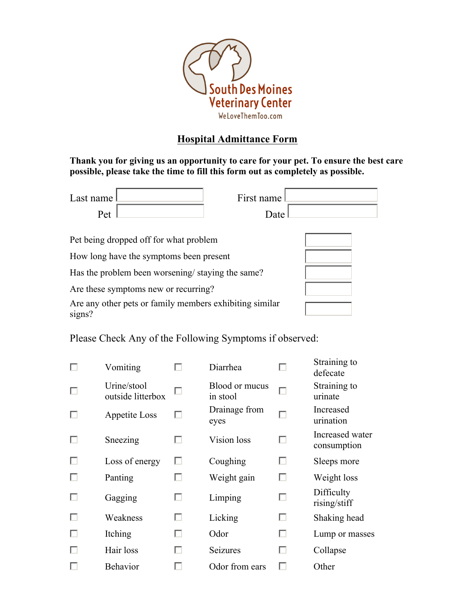

## **Hospital Admittance Form**

**Thank you for giving us an opportunity to care for your pet. To ensure the best care possible, please take the time to fill this form out as completely as possible.**

| Last name !<br>Pet                               | First name<br>Date |  |  |  |
|--------------------------------------------------|--------------------|--|--|--|
| Pet being dropped off for what problem           |                    |  |  |  |
| How long have the symptoms been present          |                    |  |  |  |
| Has the problem been worsening/staying the same? |                    |  |  |  |
| Are these symptoms new or recurring?             |                    |  |  |  |

Are any other pets or family members exhibiting similar signs?

Please Check Any of the Following Symptoms if observed:

|   | Vomiting                         |   | Diarrhea                   |   | Straining to<br>defecate       |
|---|----------------------------------|---|----------------------------|---|--------------------------------|
|   | Urine/stool<br>outside litterbox | П | Blood or mucus<br>in stool |   | Straining to<br>urinate        |
|   | Appetite Loss                    | п | Drainage from<br>eyes      |   | Increased<br>urination         |
|   | Sneezing                         | ш | Vision loss                | □ | Increased water<br>consumption |
| П | Loss of energy                   | П | Coughing                   | □ | Sleeps more                    |
|   | Panting                          | H | Weight gain                | U | Weight loss                    |
|   | Gagging                          | □ | Limping                    | П | Difficulty<br>rising/stiff     |
|   | Weakness                         | □ | Licking                    | П | Shaking head                   |
|   | Itching                          | п | Odor                       | П | Lump or masses                 |
|   | Hair loss                        | п | <b>Seizures</b>            | U | Collapse                       |
|   | <b>Behavior</b>                  |   | Odor from ears             |   | Other                          |
|   |                                  |   |                            |   |                                |